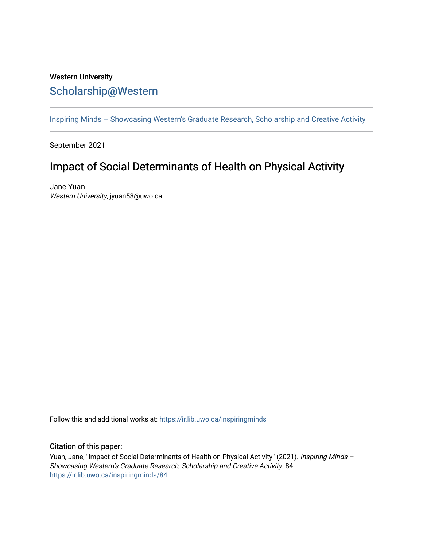## Western University [Scholarship@Western](https://ir.lib.uwo.ca/)

[Inspiring Minds – Showcasing Western's Graduate Research, Scholarship and Creative Activity](https://ir.lib.uwo.ca/inspiringminds) 

September 2021

## Impact of Social Determinants of Health on Physical Activity

Jane Yuan Western University, jyuan58@uwo.ca

Follow this and additional works at: [https://ir.lib.uwo.ca/inspiringminds](https://ir.lib.uwo.ca/inspiringminds?utm_source=ir.lib.uwo.ca%2Finspiringminds%2F84&utm_medium=PDF&utm_campaign=PDFCoverPages) 

## Citation of this paper:

Yuan, Jane, "Impact of Social Determinants of Health on Physical Activity" (2021). Inspiring Minds -Showcasing Western's Graduate Research, Scholarship and Creative Activity. 84. [https://ir.lib.uwo.ca/inspiringminds/84](https://ir.lib.uwo.ca/inspiringminds/84?utm_source=ir.lib.uwo.ca%2Finspiringminds%2F84&utm_medium=PDF&utm_campaign=PDFCoverPages)